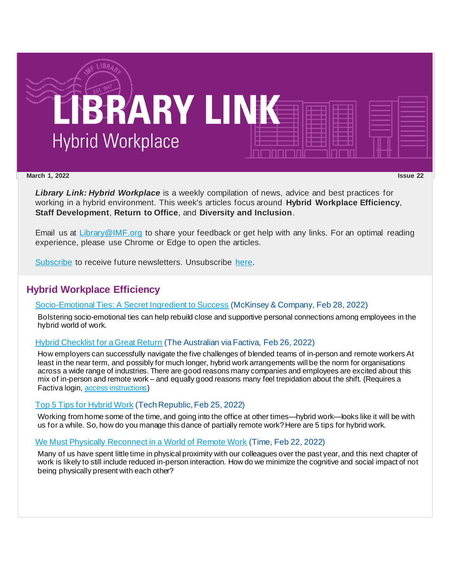

#### **March 1, 2022 Issue 22**

*Library Link: Hybrid Workplace* is a weekly compilation of news, advice and best practices for working in a hybrid environment. This week's articles focus around **Hybrid Workplace Efficiency**, **Staff Development**, **Return to Office**, and **Diversity and Inclusion**.

Email us at [Library@IMF.org](mailto:Library@IMF.org) to share your feedback or get help with any links. For an optimal reading experience, please use Chrome or Edge to open the articles.

[Subscribe](http://t.imfconnect.imf.org/r/?id=h6df08b,33bd7c6,33bde1a&e=cDE9JTQwMkt0Y2hWNXlxd05kWTNfSmZfMVM5SkE1enNkQlZJbjFGNFE1c2VGcnh3WF9GNG9FVHUtV2RCZXdhV29NRG5yUGJVcWNzUnVBbFBmRjE0RlNjdWowa3Y4YWIxVQ&s=cXW5mUQdvLDd2hMO96gdMDDm_vnvNkWy9ShYS_ylsRw) to receive future newsletters. Unsubscribe [here.](http://t.imfconnect.imf.org/r/?id=h6df08b,33bd7c6,33bde1b&e=cDE9JTQwMkt0Y2hWNXlxd05kWTNfSmZfMVM5SkE1enNkQlZJbjFGNFE1c2VGcnh3WF9GNG9FVHUtV2RCZXdhV29NRG5yUGJVcWNzUnVBbFBmRjE0RlNjdWowa3Y4YWIxVQ&s=MyqrkL-3kDwR6aKi8GqNAvT1xsSqQNtmmw5JBrJuCdo)

### **Hybrid Workplace Efficiency**

#### [Socio-Emotional Ties: A Secret Ingredient to Success](http://t.imfconnect.imf.org/r/?id=h6df08b,33bd7c6,33bde1c) (McKinsey & Company, Feb 28, 2022)

Bolstering socio-emotional ties can help rebuild close and supportive personal connections among employees in the hybrid world of work.

#### [Hybrid Checklist for a Great Return](http://t.imfconnect.imf.org/r/?id=h6df08b,33bd7c6,33bde1d) (The Australian via Factiva, Feb 26, 2022)

How employers can successfully navigate the five challenges of blended teams of in-person and remote workers At least in the near term, and possibly for much longer, hybrid work arrangements will be the norm for organisations across a wide range of industries. There are good reasons many companies and employees are excited about this mix of in-person and remote work – and equally good reasons many feel trepidation about the shift. (Requires a Factiva login, [access instructions](http://t.imfconnect.imf.org/r/?id=h6df08b,33bd7c6,33bde1e))

#### [Top 5 Tips for Hybrid Work](http://t.imfconnect.imf.org/r/?id=h6df08b,33bd7c6,33bde1f) (Tech Republic, Feb 25, 2022)

Working from home some of the time, and going into the office at other times—hybrid work—looks like it will be with us for a while. So, how do you manage this dance of partially remote work? Here are 5 tips for hybrid work.

### [We Must Physically Reconnect in a World of Remote Work](http://t.imfconnect.imf.org/r/?id=h6df08b,33bd7c6,33bde20) (Time, Feb 22, 2022)

Many of us have spent little time in physical proximity with our colleagues over the past year, and this next chapter of work is likely to still include reduced in-person interaction. How do we minimize the cognitive and social impact of not being physically present with each other?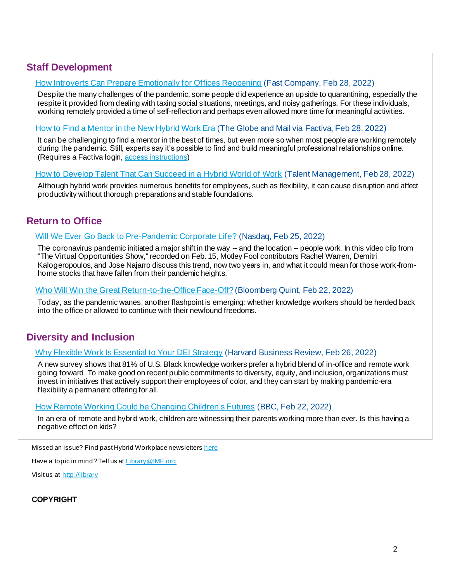# **Staff Development**

### [How Introverts Can Prepare Emotionally for Offices Reopening](http://t.imfconnect.imf.org/r/?id=h6df08b,33bd7c6,33bde21) (Fast Company, Feb 28, 2022)

Despite the many challenges of the pandemic, some people did experience an upside to quarantining, especially the respite it provided from dealing with taxing social situations, meetings, and noisy gatherings. For these individuals, working remotely provided a time of self-reflection and perhaps even allowed more time for meaningful activities.

#### [How to Find a Mentor in the New Hybrid Work Era](http://t.imfconnect.imf.org/r/?id=h6df08b,33bd7c6,33bde22) (The Globe and Mail via Factiva, Feb 28, 2022)

It can be challenging to find a mentor in the best of times, but even more so when most people are working remotely during the pandemic. Still, experts say it's possible to find and build meaningful professional relationships online. (Requires a Factiva login, [access instructions](http://t.imfconnect.imf.org/r/?id=h6df08b,33bd7c6,33bde23))

#### [How to Develop Talent That Can Succeed in a Hybrid World of Work](http://t.imfconnect.imf.org/r/?id=h6df08b,33bd7c6,33bde24) (Talent Management, Feb 28, 2022)

Although hybrid work provides numerous benefits for employees, such as flexibility, it can cause disruption and affect productivity without thorough preparations and stable foundations.

## **Return to Office**

#### [Will We Ever Go Back to Pre-Pandemic Corporate Life?](http://t.imfconnect.imf.org/r/?id=h6df08b,33bd7c6,33bde25) (Nasdaq, Feb 25, 2022)

The coronavirus pandemic initiated a major shift in the way -- and the location -- people work. In this video clip from "The Virtual Opportunities Show," recorded on Feb. 15, Motley Fool contributors Rachel Warren, Demitri Kalogeropoulos, and Jose Najarro discuss this trend, now two years in, and what it could mean for those work-fromhome stocks that have fallen from their pandemic heights.

#### [Who Will Win the Great Return-to-the-Office](http://t.imfconnect.imf.org/r/?id=h6df08b,33bd7c6,33bde26) Face-Off? (Bloomberg Quint, Feb 22, 2022)

Today, as the pandemic wanes, another flashpoint is emerging: whether knowledge workers should be herded back into the office or allowed to continue with their newfound freedoms.

### **Diversity and Inclusion**

#### [Why Flexible Work Is Essential to Your DEI Strategy](http://t.imfconnect.imf.org/r/?id=h6df08b,33bd7c6,33bde27) (Harvard Business Review, Feb 26, 2022)

A new survey shows that 81% of U.S. Black knowledge workers prefer a hybrid blend of in-office and remote work going forward. To make good on recent public commitments to diversity, equity, and inclusion, organizations must invest in initiatives that actively support their employees of color, and they can start by making pandemic-era flexibility a permanent offering for all.

#### [How Remote Working Could be Changing Children's Futures](http://t.imfconnect.imf.org/r/?id=h6df08b,33bd7c6,33bde28) (BBC, Feb 22, 2022)

In an era of remote and hybrid work, children are witnessing their parents working more than ever. Is this having a negative effect on kids?

Missed an issue? Find past Hybrid Workplace newsletters [here](http://t.imfconnect.imf.org/r/?id=h6df08b,33bd7c6,33bde29)

Have a topic in mind? Tell us at [Library@IMF.org](mailto:Library@imf.org)

Visit us at [http://library](http://t.imfconnect.imf.org/r/?id=h6df08b,33bd7c6,33bde2a)

**COPYRIGHT**